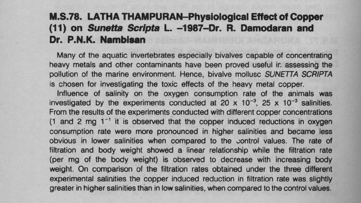## **M.S.78**. LATHA **THAMPURAN-Physiological Effect of Copper (11) on Sunetta Scripta L. -1987**-**Dr. R. Damodaran and Dr. P.N**.**K. Nambisan**

Many of the aquatic invertebrates especially bivalves capable of concentrating heavy metals and other contaminants have been proved useful ir, assessing the pollution of the marine environment. Hence, bivalve mollusc SUNETTA SCRIPTA is chosen for investigating the toxic effects of the heavy metal copper.

Influence of salinity on the oxygen consumption rate of the animals was investigated by the experiments conducted at 20 x  $10^{-3}$ , 25 x  $10^{-3}$  salinities. From the results of the experiments conducted with different copper concentrations  $(1 \text{ and } 2 \text{ mg } 1^{-1}$  it is observed that the copper induced reductions in oxygen consumption rate were more pronounced in higher salinities and became less obvious in lower salinities when compared to the control values. The rate of filtration and body weight showed a linear relationship while the filtration rate (per mg of the body weight) is observed to decrease with increasing body weight. On comparison of the filtration rates obtained under the three different experimental salinities the copper induced reduction in filtration rate was slightly greater in higher salinities than **in low salinities**, when compared to the control values.